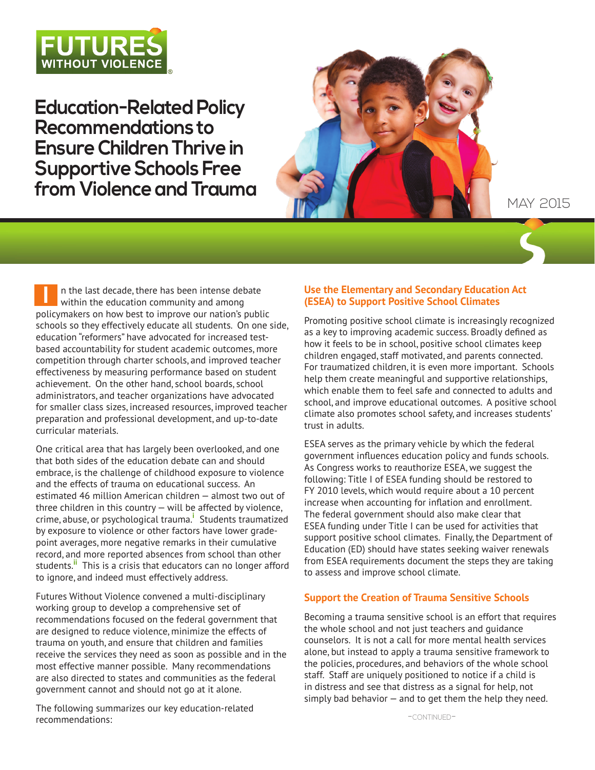

**Education-Related Policy Recommendations to Ensure Children Thrive in Supportive Schools Free from Violence and Trauma**



# may 2015

n the last decade, there has been intense debate within the education community and among policymakers on how best to improve our nation's public schools so they effectively educate all students. On one side, education "reformers" have advocated for increased testbased accountability for student academic outcomes, more competition through charter schools, and improved teacher effectiveness by measuring performance based on student achievement. On the other hand, school boards, school administrators, and teacher organizations have advocated for smaller class sizes, increased resources, improved teacher preparation and professional development, and up-to-date curricular materials. **I**

One critical area that has largely been overlooked, and one that both sides of the education debate can and should embrace, is the challenge of childhood exposure to violence and the effects of trauma on educational success. An estimated 46 million American children — almost two out of three children in this country — will be affected by violence, crime, abuse, or psychological trauma.**<sup>i</sup>** Students traumatized by exposure to violence or other factors have lower gradepoint averages, more negative remarks in their cumulative record, and more reported absences from school than other students.**ii** This is a crisis that educators can no longer afford to ignore, and indeed must effectively address.

Futures Without Violence convened a multi-disciplinary working group to develop a comprehensive set of recommendations focused on the federal government that are designed to reduce violence, minimize the effects of trauma on youth, and ensure that children and families receive the services they need as soon as possible and in the most effective manner possible. Many recommendations are also directed to states and communities as the federal government cannot and should not go at it alone.

The following summarizes our key education-related recommendations:

### **Use the Elementary and Secondary Education Act (ESEA) to Support Positive School Climates**

Promoting positive school climate is increasingly recognized as a key to improving academic success. Broadly defined as how it feels to be in school, positive school climates keep children engaged, staff motivated, and parents connected. For traumatized children, it is even more important. Schools help them create meaningful and supportive relationships, which enable them to feel safe and connected to adults and school, and improve educational outcomes. A positive school climate also promotes school safety, and increases students' trust in adults.

ESEA serves as the primary vehicle by which the federal government influences education policy and funds schools. As Congress works to reauthorize ESEA, we suggest the following: Title I of ESEA funding should be restored to FY 2010 levels, which would require about a 10 percent increase when accounting for inflation and enrollment. The federal government should also make clear that ESEA funding under Title I can be used for activities that support positive school climates. Finally, the Department of Education (ED) should have states seeking waiver renewals from ESEA requirements document the steps they are taking to assess and improve school climate.

## **Support the Creation of Trauma Sensitive Schools**

Becoming a trauma sensitive school is an effort that requires the whole school and not just teachers and guidance counselors. It is not a call for more mental health services alone, but instead to apply a trauma sensitive framework to the policies, procedures, and behaviors of the whole school staff. Staff are uniquely positioned to notice if a child is in distress and see that distress as a signal for help, not simply bad behavior  $-$  and to get them the help they need.